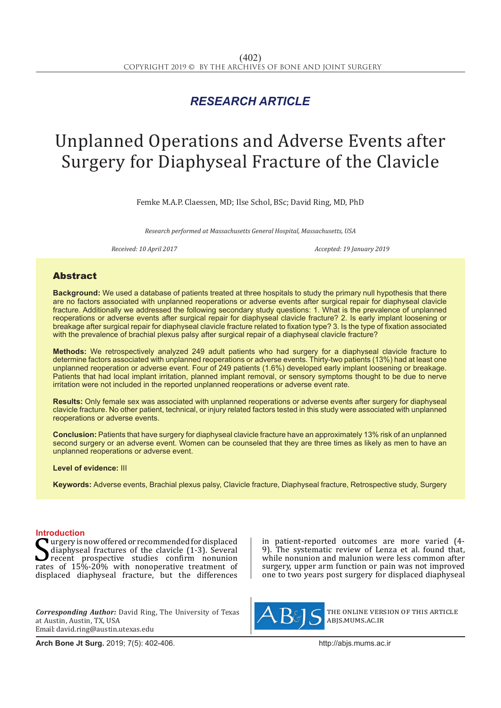## *RESEARCH ARTICLE*

# Unplanned Operations and Adverse Events after Surgery for Diaphyseal Fracture of the Clavicle

Femke M.A.P. Claessen, MD; Ilse Schol, BSc; David Ring, MD, PhD

*Research performed at Massachusetts General Hospital, Massachusetts, USA*

Received: 10 April 2017 **Accepted: 19 January 2019** Accepted: 19 January 2019

### Abstract

**Background:** We used a database of patients treated at three hospitals to study the primary null hypothesis that there are no factors associated with unplanned reoperations or adverse events after surgical repair for diaphyseal clavicle fracture. Additionally we addressed the following secondary study questions: 1. What is the prevalence of unplanned reoperations or adverse events after surgical repair for diaphyseal clavicle fracture? 2. Is early implant loosening or breakage after surgical repair for diaphyseal clavicle fracture related to fixation type? 3. Is the type of fixation associated with the prevalence of brachial plexus palsy after surgical repair of a diaphyseal clavicle fracture?

**Methods:** We retrospectively analyzed 249 adult patients who had surgery for a diaphyseal clavicle fracture to determine factors associated with unplanned reoperations or adverse events. Thirty-two patients (13%) had at least one unplanned reoperation or adverse event. Four of 249 patients (1.6%) developed early implant loosening or breakage. Patients that had local implant irritation, planned implant removal, or sensory symptoms thought to be due to nerve irritation were not included in the reported unplanned reoperations or adverse event rate.

**Results:** Only female sex was associated with unplanned reoperations or adverse events after surgery for diaphyseal clavicle fracture. No other patient, technical, or injury related factors tested in this study were associated with unplanned reoperations or adverse events.

**Conclusion:** Patients that have surgery for diaphyseal clavicle fracture have an approximately 13% risk of an unplanned second surgery or an adverse event. Women can be counseled that they are three times as likely as men to have an unplanned reoperations or adverse event.

**Level of evidence:** III

**Keywords:** Adverse events, Brachial plexus palsy, Clavicle fracture, Diaphyseal fracture, Retrospective study, Surgery

**Introduction**<br><u>Latery is now offered or recommended for displaced</u> Surgery is now offered or recommended for displaced<br>
recent prospective studies confirm nonunion<br>
rates of 15%-20% with nonoperative treatment of<br>
displaced diaphyseal fracture but the differences diaphyseal fractures of the clavicle (1-3). Several recent prospective studies confirm nonunion displaced diaphyseal fracture, but the differences

*Corresponding Author:* David Ring, The University of Texas at Austin, Austin, TX, USA Email: david.ring@austin.utexas.edu

**Arch Bone Jt Surg.** 2019; 7(5): 402-406.http://abjs.mums.ac.ir

in patient-reported outcomes are more varied (4- 9). The systematic review of Lenza et al. found that, while nonunion and malunion were less common after surgery, upper arm function or pain was not improved one to two years post surgery for displaced diaphyseal



the online version of this article abjs.mums.ac.ir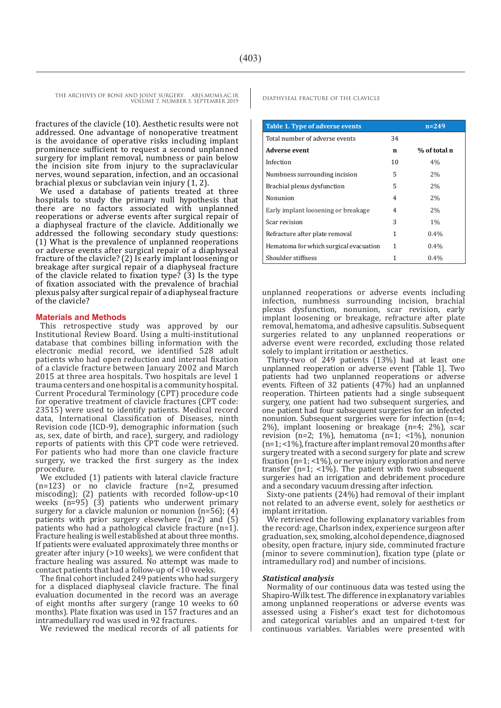> fractures of the clavicle (10). Aesthetic results were not addressed. One advantage of nonoperative treatment is the avoidance of operative risks including implant prominence sufficient to request a second unplanned surgery for implant removal, numbness or pain below the incision site from injury to the supraclavicular nerves, wound separation, infection, and an occasional brachial plexus or subclavian vein injury (1, 2).

> We used a database of patients treated at three hospitals to study the primary null hypothesis that there are no factors associated with unplanned reoperations or adverse events after surgical repair of a diaphyseal fracture of the clavicle. Additionally we addressed the following secondary study questions: (1) What is the prevalence of unplanned reoperations or adverse events after surgical repair of a diaphyseal fracture of the clavicle? (2) Is early implant loosening or breakage after surgical repair of a diaphyseal fracture of the clavicle related to fixation type? (3) Is the type of fixation associated with the prevalence of brachial plexus palsy after surgical repair of a diaphyseal fracture of the clavicle?

#### **Materials and Methods**

This retrospective study was approved by our Institutional Review Board. Using a multi-institutional database that combines billing information with the electronic medial record, we identified 528 adult patients who had open reduction and internal fixation of a clavicle fracture between January 2002 and March 2015 at three area hospitals. Two hospitals are level 1 trauma centers and one hospital is a community hospital. Current Procedural Terminology (CPT) procedure code for operative treatment of clavicle fractures (CPT code: 23515) were used to identify patients. Medical record data, International Classification of Diseases, ninth Revision code (ICD-9), demographic information (such as, sex, date of birth, and race), surgery, and radiology reports of patients with this CPT code were retrieved. For patients who had more than one clavicle fracture surgery, we tracked the first surgery as the index procedure.

We excluded (1) patients with lateral clavicle fracture (n=123) or no clavicle fracture (n=2, presumed miscoding); (2) patients with recorded follow-up<10 weeks (n=95) (3) patients who underwent primary surgery for a clavicle malunion or nonunion (n=56); (4) patients with prior surgery elsewhere  $(n=2)$  and  $(5)$ patients who had a pathological clavicle fracture (n=1). Fracture healing is well established at about three months. If patients were evaluated approximately three months or greater after injury (>10 weeks), we were confident that fracture healing was assured. No attempt was made to contact patients that had a follow-up of <10 weeks.

The final cohort included 249 patients who had surgery for a displaced diaphyseal clavicle fracture. The final evaluation documented in the record was an average of eight months after surgery (range 10 weeks to 60 months). Plate fixation was used in 157 fractures and an intramedullary rod was used in 92 fractures.

We reviewed the medical records of all patients for

| Table 1. Type of adverse events        |    | $n = 249$    |
|----------------------------------------|----|--------------|
| Total number of adverse events         | 34 |              |
| Adverse event                          | n  | % of total n |
| Infection                              | 10 | 4%           |
| Numbness surrounding incision          | 5  | 2%           |
| Brachial plexus dysfunction            | 5  | 2%           |
| Nonunion                               | 4  | 2%           |
| Early implant loosening or breakage    | 4  | 2%           |
| Scar revision                          | 3  | $1\%$        |
| Refracture after plate removal         | 1  | $0.4\%$      |
| Hematoma for which surgical evacuation | 1  | $0.4\%$      |
| Shoulder stiffness                     | 1  | 0.4%         |

unplanned reoperations or adverse events including infection, numbness surrounding incision, brachial plexus dysfunction, nonunion, scar revision, early implant loosening or breakage, refracture after plate removal, hematoma, and adhesive capsulitis. Subsequent surgeries related to any unplanned reoperations or adverse event were recorded, excluding those related solely to implant irritation or aesthetics.

Thirty-two of 249 patients (13%) had at least one unplanned reoperation or adverse event [Table 1]. Two patients had two unplanned reoperations or adverse events. Fifteen of 32 patients (47%) had an unplanned reoperation. Thirteen patients had a single subsequent surgery, one patient had two subsequent surgeries, and one patient had four subsequent surgeries for an infected nonunion. Subsequent surgeries were for infection (n=4; 2%), implant loosening or breakage (n=4; 2%), scar revision (n=2; 1%), hematoma (n=1; <1%), nonunion (n=1; <1%), fracture after implant removal 20 months after surgery treated with a second surgery for plate and screw fixation ( $n=1$ ; <1%), or nerve injury exploration and nerve transfer ( $n=1$ ; <1%). The patient with two subsequent surgeries had an irrigation and debridement procedure and a secondary vacuum dressing after infection.

Sixty-one patients (24%) had removal of their implant not related to an adverse event, solely for aesthetics or implant irritation.

We retrieved the following explanatory variables from the record: age, Charlson index, experience surgeon after graduation, sex, smoking, alcohol dependence, diagnosed obesity, open fracture, injury side, comminuted fracture (minor to severe comminution), fixation type (plate or intramedullary rod) and number of incisions.

#### *Statistical analysis*

Normality of our continuous data was tested using the Shapiro-Wilk test. The difference in explanatory variables among unplanned reoperations or adverse events was assessed using a Fisher's exact test for dichotomous and categorical variables and an unpaired t-test for continuous variables. Variables were presented with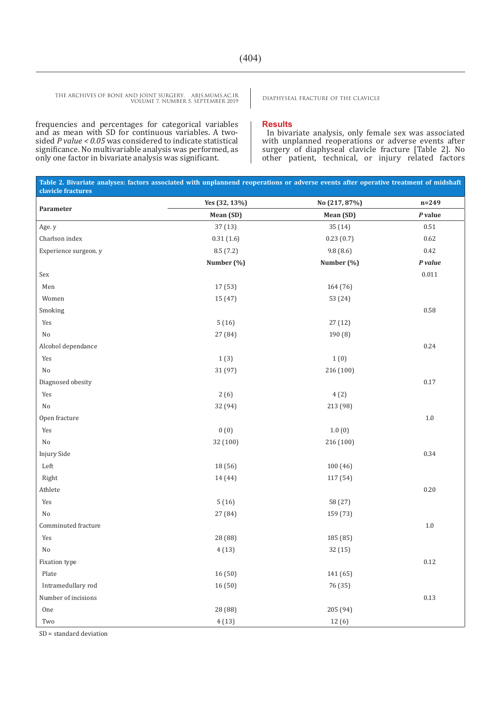frequencies and percentages for categorical variables and as mean with SD for continuous variables. A twosided *P value < 0.05* was considered to indicate statistical significance. No multivariable analysis was performed, as only one factor in bivariate analysis was significant.

#### **Results**

In bivariate analysis, only female sex was associated with unplanned reoperations or adverse events after surgery of diaphyseal clavicle fracture [Table 2]. No other patient, technical, or injury related factors

| Table 2. Bivariate analyses: factors associated with unplannend reoperations or adverse events after operative treatment of midshaft<br>clavicle fractures |               |               |           |  |
|------------------------------------------------------------------------------------------------------------------------------------------------------------|---------------|---------------|-----------|--|
|                                                                                                                                                            | Yes (32, 13%) | No (217, 87%) | $n = 249$ |  |
| Parameter                                                                                                                                                  | Mean (SD)     | Mean (SD)     | $P$ value |  |
| Age. y                                                                                                                                                     | 37(13)        | 35 (14)       | 0.51      |  |
| Charlson index                                                                                                                                             | 0.31(1.6)     | 0.23(0.7)     | 0.62      |  |
| Experience surgeon. y                                                                                                                                      | 8.5(7.2)      | 9.8(8.6)      | 0.42      |  |
|                                                                                                                                                            | Number (%)    | Number (%)    | P value   |  |
| $\operatorname{Sex}$                                                                                                                                       |               |               | $0.011\,$ |  |
| Men                                                                                                                                                        | 17 (53)       | 164 (76)      |           |  |
| Women                                                                                                                                                      | 15 (47)       | 53 (24)       |           |  |
| Smoking                                                                                                                                                    |               |               | 0.58      |  |
| Yes                                                                                                                                                        | 5(16)         | 27(12)        |           |  |
| $\rm No$                                                                                                                                                   | 27 (84)       | 190 (8)       |           |  |
| Alcohol dependance                                                                                                                                         |               |               | 0.24      |  |
| Yes                                                                                                                                                        | 1(3)          | 1(0)          |           |  |
| No                                                                                                                                                         | 31 (97)       | 216 (100)     |           |  |
| Diagnosed obesity                                                                                                                                          |               |               | $0.17\,$  |  |
| Yes                                                                                                                                                        | 2(6)          | 4(2)          |           |  |
| $\rm No$                                                                                                                                                   | 32 (94)       | 213 (98)      |           |  |
| Open fracture                                                                                                                                              |               |               | $1.0\,$   |  |
| Yes                                                                                                                                                        | 0(0)          | 1.0(0)        |           |  |
| $\rm No$                                                                                                                                                   | 32 (100)      | 216 (100)     |           |  |
| <b>Injury Side</b>                                                                                                                                         |               |               | 0.34      |  |
| ${\rm Left}$                                                                                                                                               | 18 (56)       | 100 (46)      |           |  |
| Right                                                                                                                                                      | 14 (44)       | 117 (54)      |           |  |
| Athlete                                                                                                                                                    |               |               | 0.20      |  |
| Yes                                                                                                                                                        | 5(16)         | 58 (27)       |           |  |
| $\rm No$                                                                                                                                                   | 27 (84)       | 159 (73)      |           |  |
| Comminuted fracture                                                                                                                                        |               |               | $1.0\,$   |  |
| Yes                                                                                                                                                        | 28 (88)       | 185 (85)      |           |  |
| No                                                                                                                                                         | 4(13)         | 32 (15)       |           |  |
| Fixation type                                                                                                                                              |               |               | 0.12      |  |
| Plate                                                                                                                                                      | 16(50)        | 141 (65)      |           |  |
| Intramedullary rod                                                                                                                                         | 16(50)        | 76 (35)       |           |  |
| Number of incisions                                                                                                                                        |               |               | 0.13      |  |
| One                                                                                                                                                        | 28 (88)       | 205 (94)      |           |  |
| Two                                                                                                                                                        | 4(13)         | 12 (6)        |           |  |

SD = standard deviation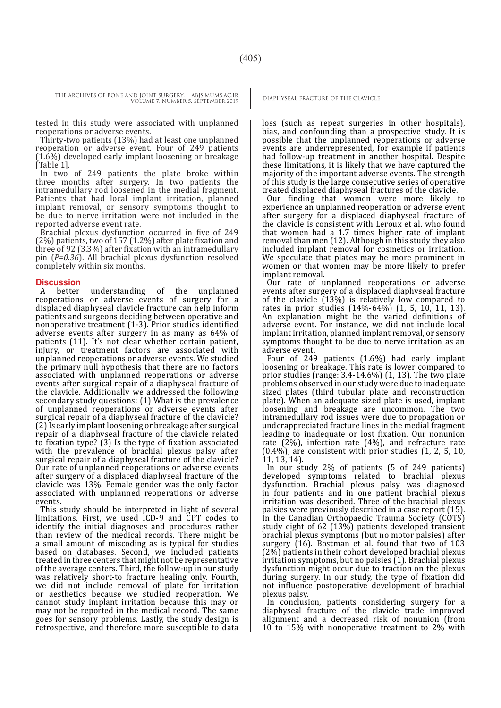tested in this study were associated with unplanned reoperations or adverse events.

Thirty-two patients (13%) had at least one unplanned reoperation or adverse event. Four of 249 patients (1.6%) developed early implant loosening or breakage [Table 1].

In two of 249 patients the plate broke within three months after surgery. In two patients the intramedullary rod loosened in the medial fragment. Patients that had local implant irritation, planned implant removal, or sensory symptoms thought to be due to nerve irritation were not included in the reported adverse event rate.

Brachial plexus dysfunction occurred in five of 249 (2%) patients, two of 157 (1.2%) after plate fixation and three of 92 (3.3%) after fixation with an intramedullary pin (*P=0.36*). All brachial plexus dysfunction resolved completely within six months.

## **Discussion**<br>A better

understanding of the unplanned reoperations or adverse events of surgery for a displaced diaphyseal clavicle fracture can help inform patients and surgeons deciding between operative and nonoperative treatment (1-3). Prior studies identified adverse events after surgery in as many as 64% of patients (11). It's not clear whether certain patient, injury, or treatment factors are associated with unplanned reoperations or adverse events. We studied the primary null hypothesis that there are no factors associated with unplanned reoperations or adverse events after surgical repair of a diaphyseal fracture of the clavicle. Additionally we addressed the following secondary study questions: (1) What is the prevalence of unplanned reoperations or adverse events after surgical repair of a diaphyseal fracture of the clavicle? (2) Is early implant loosening or breakage after surgical repair of a diaphyseal fracture of the clavicle related to fixation type? (3) Is the type of fixation associated with the prevalence of brachial plexus palsy after surgical repair of a diaphyseal fracture of the clavicle? Our rate of unplanned reoperations or adverse events after surgery of a displaced diaphyseal fracture of the clavicle was 13%. Female gender was the only factor associated with unplanned reoperations or adverse events.

This study should be interpreted in light of several limitations. First, we used ICD-9 and CPT codes to identify the initial diagnoses and procedures rather than review of the medical records. There might be a small amount of miscoding as is typical for studies based on databases. Second, we included patients treated in three centers that might not be representative of the average centers. Third, the follow-up in our study was relatively short-to fracture healing only. Fourth, we did not include removal of plate for irritation or aesthetics because we studied reoperation. We cannot study implant irritation because this may or may not be reported in the medical record. The same goes for sensory problems. Lastly, the study design is retrospective, and therefore more susceptible to data

loss (such as repeat surgeries in other hospitals), bias, and confounding than a prospective study. It is possible that the unplanned reoperations or adverse events are underrepresented, for example if patients had follow-up treatment in another hospital. Despite these limitations, it is likely that we have captured the majority of the important adverse events. The strength of this study is the large consecutive series of operative treated displaced diaphyseal fractures of the clavicle.

Our finding that women were more likely to experience an unplanned reoperation or adverse event after surgery for a displaced diaphyseal fracture of the clavicle is consistent with Leroux et al. who found that women had a 1.7 times higher rate of implant removal than men (12). Although in this study they also included implant removal for cosmetics or irritation. We speculate that plates may be more prominent in women or that women may be more likely to prefer implant removal.

Our rate of unplanned reoperations or adverse events after surgery of a displaced diaphyseal fracture of the clavicle  $(13\%)$  is relatively low compared to rates in prior studies (14%-64%) (1, 5, 10, 11, 13). An explanation might be the varied definitions of adverse event. For instance, we did not include local implant irritation, planned implant removal, or sensory symptoms thought to be due to nerve irritation as an adverse event.

Four of 249 patients (1.6%) had early implant loosening or breakage. This rate is lower compared to prior studies (range: 3.4-14.6%) (1, 13). The two plate problems observed in our study were due to inadequate sized plates (third tubular plate and reconstruction plate). When an adequate sized plate is used, implant loosening and breakage are uncommon. The two intramedullary rod issues were due to propagation or underappreciated fracture lines in the medial fragment leading to inadequate or lost fixation. Our nonunion rate (2%), infection rate (4%), and refracture rate (0.4%), are consistent with prior studies (1, 2, 5, 10, 11, 13, 14).

In our study 2% of patients (5 of 249 patients) developed symptoms related to brachial plexus dysfunction. Brachial plexus palsy was diagnosed in four patients and in one patient brachial plexus irritation was described. Three of the brachial plexus palsies were previously described in a case report (15). In the Canadian Orthopaedic Trauma Society (COTS) study eight of 62 (13%) patients developed transient brachial plexus symptoms (but no motor palsies) after surgery (16). Bostman et al. found that two of 103 (2%) patients in their cohort developed brachial plexus irritation symptoms, but no palsies (1). Brachial plexus dysfunction might occur due to traction on the plexus during surgery. In our study, the type of fixation did not influence postoperative development of brachial plexus palsy.

In conclusion, patients considering surgery for a diaphyseal fracture of the clavicle trade improved alignment and a decreased risk of nonunion (from 10 to 15% with nonoperative treatment to 2% with